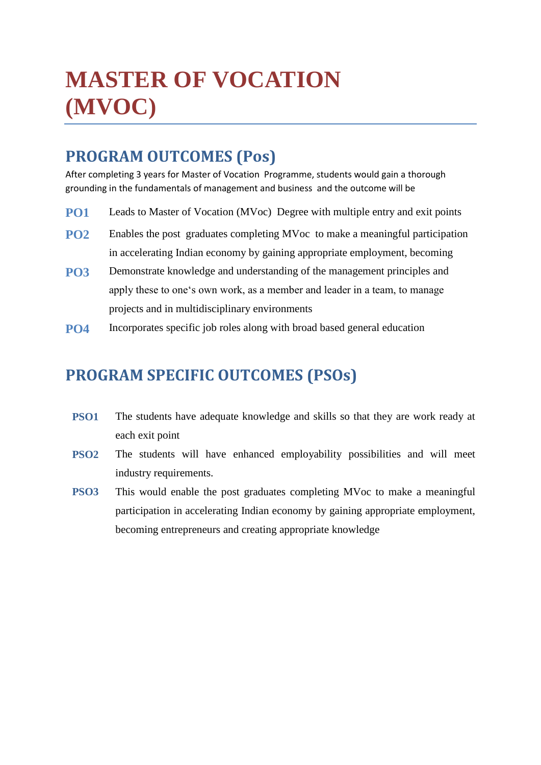# **MASTER OF VOCATION (MVOC)**

# **PROGRAM OUTCOMES (Pos)**

After completing 3 years for Master of Vocation Programme, students would gain a thorough grounding in the fundamentals of management and business and the outcome will be

- **PO1** Leads to Master of Vocation (MVoc) Degree with multiple entry and exit points
- **PO2** Enables the post graduates completing MVoc to make a meaningful participation in accelerating Indian economy by gaining appropriate employment, becoming
- **PO3** Demonstrate knowledge and understanding of the management principles and apply these to one's own work, as a member and leader in a team, to manage projects and in multidisciplinary environments
- **PO4** Incorporates specific job roles along with broad based general education

# **PROGRAM SPECIFIC OUTCOMES (PSOs)**

- **PSO1** The students have adequate knowledge and skills so that they are work ready at each exit point
- **PSO2** The students will have enhanced employability possibilities and will meet industry requirements.
- **PSO3** This would enable the post graduates completing MVoc to make a meaningful participation in accelerating Indian economy by gaining appropriate employment, becoming entrepreneurs and creating appropriate knowledge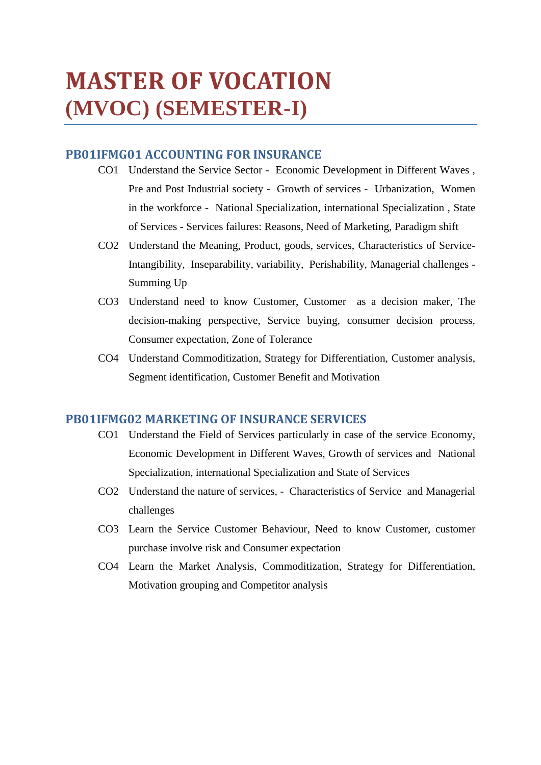# **MASTER OF VOCATION (MVOC) (SEMESTER-I)**

# **PB01IFMG01 ACCOUNTING FOR INSURANCE**

- CO1 Understand the Service Sector Economic Development in Different Waves , Pre and Post Industrial society - Growth of services - Urbanization, Women in the workforce - National Specialization, international Specialization , State of Services - Services failures: Reasons, Need of Marketing, Paradigm shift
- CO2 Understand the Meaning, Product, goods, services, Characteristics of Service-Intangibility, Inseparability, variability, Perishability, Managerial challenges - Summing Up
- CO3 Understand need to know Customer, Customer as a decision maker, The decision-making perspective, Service buying, consumer decision process, Consumer expectation, Zone of Tolerance
- CO4 Understand Commoditization, Strategy for Differentiation, Customer analysis, Segment identification, Customer Benefit and Motivation

## **PB01IFMG02 MARKETING OF INSURANCE SERVICES**

- CO1 Understand the Field of Services particularly in case of the service Economy, Economic Development in Different Waves, Growth of services and National Specialization, international Specialization and State of Services
- CO2 Understand the nature of services, Characteristics of Service and Managerial challenges
- CO3 Learn the Service Customer Behaviour, Need to know Customer, customer purchase involve risk and Consumer expectation
- CO4 Learn the Market Analysis, Commoditization, Strategy for Differentiation, Motivation grouping and Competitor analysis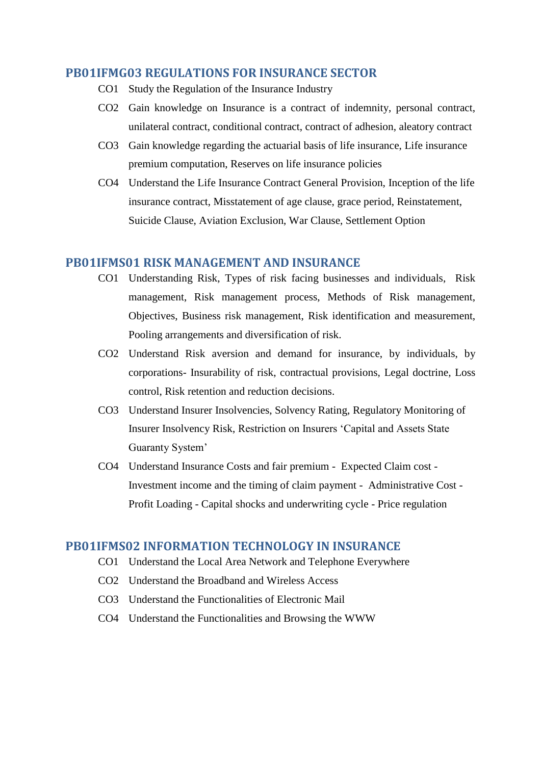#### **PB01IFMG03 REGULATIONS FOR INSURANCE SECTOR**

- CO1 Study the Regulation of the Insurance Industry
- CO2 Gain knowledge on Insurance is a contract of indemnity, personal contract, unilateral contract, conditional contract, contract of adhesion, aleatory contract
- CO3 Gain knowledge regarding the actuarial basis of life insurance, Life insurance premium computation, Reserves on life insurance policies
- CO4 Understand the Life Insurance Contract General Provision, Inception of the life insurance contract, Misstatement of age clause, grace period, Reinstatement, Suicide Clause, Aviation Exclusion, War Clause, Settlement Option

#### **PB01IFMS01 RISK MANAGEMENT AND INSURANCE**

- CO1 Understanding Risk, Types of risk facing businesses and individuals, Risk management, Risk management process, Methods of Risk management, Objectives, Business risk management, Risk identification and measurement, Pooling arrangements and diversification of risk.
- CO2 Understand Risk aversion and demand for insurance, by individuals, by corporations- Insurability of risk, contractual provisions, Legal doctrine, Loss control, Risk retention and reduction decisions.
- CO3 Understand Insurer Insolvencies, Solvency Rating, Regulatory Monitoring of Insurer Insolvency Risk, Restriction on Insurers 'Capital and Assets State Guaranty System'
- CO4 Understand Insurance Costs and fair premium Expected Claim cost Investment income and the timing of claim payment - Administrative Cost - Profit Loading - Capital shocks and underwriting cycle - Price regulation

#### **PB01IFMS02 INFORMATION TECHNOLOGY IN INSURANCE**

- CO1 Understand the Local Area Network and Telephone Everywhere
- CO2 Understand the Broadband and Wireless Access
- CO3 Understand the Functionalities of Electronic Mail
- CO4 Understand the Functionalities and Browsing the WWW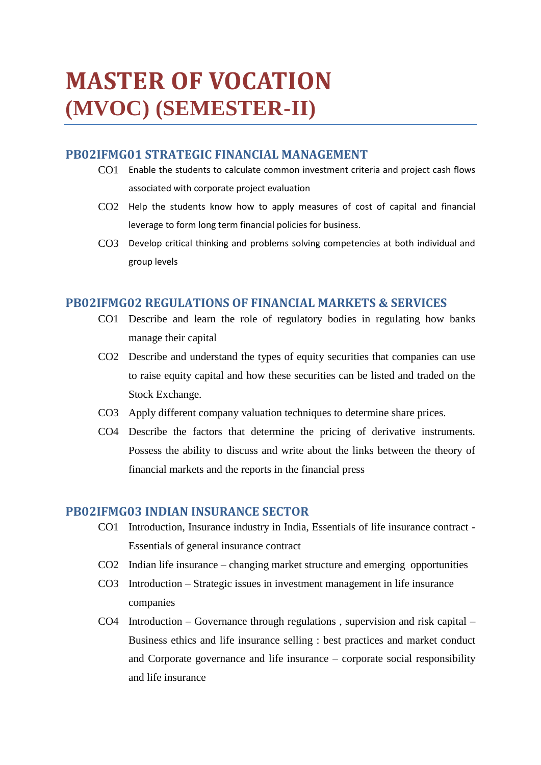# **MASTER OF VOCATION (MVOC) (SEMESTER-II)**

### **PB02IFMG01 STRATEGIC FINANCIAL MANAGEMENT**

- CO1 Enable the students to calculate common investment criteria and project cash flows associated with corporate project evaluation
- CO2 Help the students know how to apply measures of cost of capital and financial leverage to form long term financial policies for business.
- CO3 Develop critical thinking and problems solving competencies at both individual and group levels

#### **PB02IFMG02 REGULATIONS OF FINANCIAL MARKETS & SERVICES**

- CO1 Describe and learn the role of regulatory bodies in regulating how banks manage their capital
- CO2 Describe and understand the types of equity securities that companies can use to raise equity capital and how these securities can be listed and traded on the Stock Exchange.
- CO3 Apply different company valuation techniques to determine share prices.
- CO4 Describe the factors that determine the pricing of derivative instruments. Possess the ability to discuss and write about the links between the theory of financial markets and the reports in the financial press

#### **PB02IFMG03 INDIAN INSURANCE SECTOR**

- CO1 Introduction, Insurance industry in India, Essentials of life insurance contract Essentials of general insurance contract
- CO2 Indian life insurance changing market structure and emerging opportunities
- CO3 Introduction Strategic issues in investment management in life insurance companies
- CO4 Introduction Governance through regulations , supervision and risk capital Business ethics and life insurance selling : best practices and market conduct and Corporate governance and life insurance – corporate social responsibility and life insurance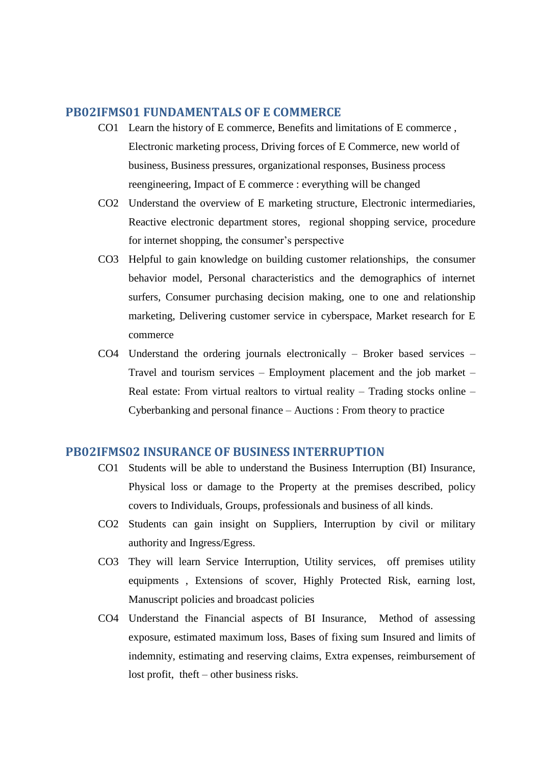#### **PB02IFMS01 FUNDAMENTALS OF E COMMERCE**

- CO1 Learn the history of E commerce, Benefits and limitations of E commerce , Electronic marketing process, Driving forces of E Commerce, new world of business, Business pressures, organizational responses, Business process reengineering, Impact of E commerce : everything will be changed
- CO2 Understand the overview of E marketing structure, Electronic intermediaries, Reactive electronic department stores, regional shopping service, procedure for internet shopping, the consumer's perspective
- CO3 Helpful to gain knowledge on building customer relationships, the consumer behavior model, Personal characteristics and the demographics of internet surfers, Consumer purchasing decision making, one to one and relationship marketing, Delivering customer service in cyberspace, Market research for E commerce
- CO4 Understand the ordering journals electronically Broker based services Travel and tourism services – Employment placement and the job market – Real estate: From virtual realtors to virtual reality – Trading stocks online – Cyberbanking and personal finance – Auctions : From theory to practice

#### **PB02IFMS02 INSURANCE OF BUSINESS INTERRUPTION**

- CO1 Students will be able to understand the Business Interruption (BI) Insurance, Physical loss or damage to the Property at the premises described, policy covers to Individuals, Groups, professionals and business of all kinds.
- CO2 Students can gain insight on Suppliers, Interruption by civil or military authority and Ingress/Egress.
- CO3 They will learn Service Interruption, Utility services, off premises utility equipments , Extensions of scover, Highly Protected Risk, earning lost, Manuscript policies and broadcast policies
- CO4 Understand the Financial aspects of BI Insurance, Method of assessing exposure, estimated maximum loss, Bases of fixing sum Insured and limits of indemnity, estimating and reserving claims, Extra expenses, reimbursement of lost profit, theft – other business risks.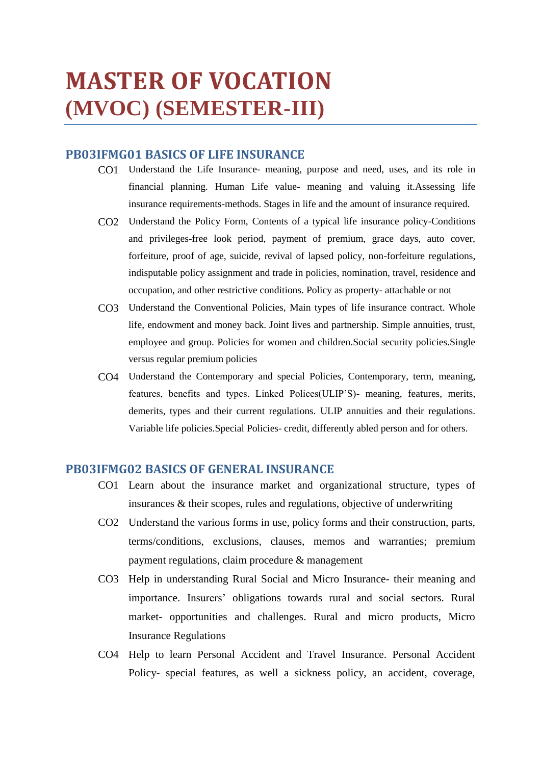# **MASTER OF VOCATION (MVOC) (SEMESTER-III)**

## **PB03IFMG01 BASICS OF LIFE INSURANCE**

- CO1 Understand the Life Insurance- meaning, purpose and need, uses, and its role in financial planning. Human Life value- meaning and valuing it.Assessing life insurance requirements-methods. Stages in life and the amount of insurance required.
- CO2 Understand the Policy Form, Contents of a typical life insurance policy-Conditions and privileges-free look period, payment of premium, grace days, auto cover, forfeiture, proof of age, suicide, revival of lapsed policy, non-forfeiture regulations, indisputable policy assignment and trade in policies, nomination, travel, residence and occupation, and other restrictive conditions. Policy as property- attachable or not
- CO3 Understand the Conventional Policies, Main types of life insurance contract. Whole life, endowment and money back. Joint lives and partnership. Simple annuities, trust, employee and group. Policies for women and children.Social security policies.Single versus regular premium policies
- CO4 Understand the Contemporary and special Policies, Contemporary, term, meaning, features, benefits and types. Linked Polices(ULIP'S)- meaning, features, merits, demerits, types and their current regulations. ULIP annuities and their regulations. Variable life policies.Special Policies- credit, differently abled person and for others.

#### **PB03IFMG02 BASICS OF GENERAL INSURANCE**

- CO1 Learn about the insurance market and organizational structure, types of insurances & their scopes, rules and regulations, objective of underwriting
- CO2 Understand the various forms in use, policy forms and their construction, parts, terms/conditions, exclusions, clauses, memos and warranties; premium payment regulations, claim procedure & management
- CO3 Help in understanding Rural Social and Micro Insurance- their meaning and importance. Insurers' obligations towards rural and social sectors. Rural market- opportunities and challenges. Rural and micro products, Micro Insurance Regulations
- CO4 Help to learn Personal Accident and Travel Insurance. Personal Accident Policy- special features, as well a sickness policy, an accident, coverage,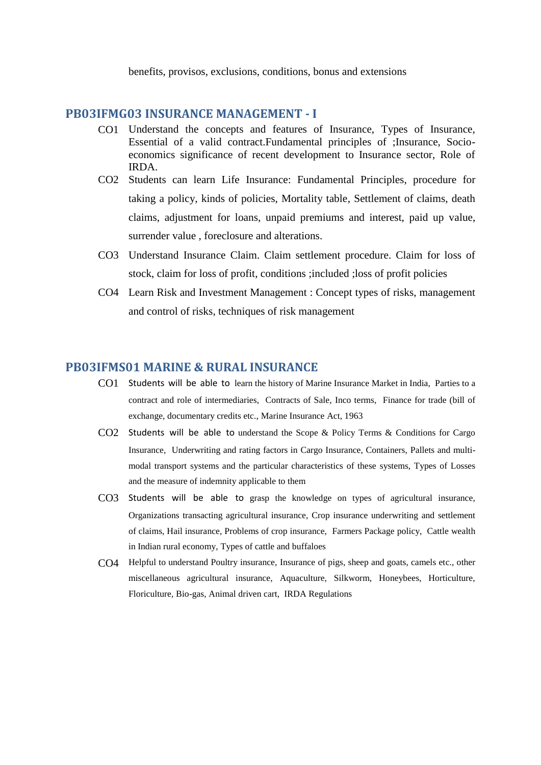benefits, provisos, exclusions, conditions, bonus and extensions

#### **PB03IFMG03 INSURANCE MANAGEMENT - I**

- CO1 Understand the concepts and features of Insurance, Types of Insurance, Essential of a valid contract.Fundamental principles of ;Insurance, Socioeconomics significance of recent development to Insurance sector, Role of IRDA.
- CO2 Students can learn Life Insurance: Fundamental Principles, procedure for taking a policy, kinds of policies, Mortality table, Settlement of claims, death claims, adjustment for loans, unpaid premiums and interest, paid up value, surrender value , foreclosure and alterations.
- CO3 Understand Insurance Claim. Claim settlement procedure. Claim for loss of stock, claim for loss of profit, conditions ;included ;loss of profit policies
- CO4 Learn Risk and Investment Management : Concept types of risks, management and control of risks, techniques of risk management

#### **PB03IFMS01 MARINE & RURAL INSURANCE**

- CO1 Students will be able to learn the history of Marine Insurance Market in India, Parties to a contract and role of intermediaries, Contracts of Sale, Inco terms, Finance for trade (bill of exchange, documentary credits etc., Marine Insurance Act, 1963
- CO2 Students will be able to understand the Scope & Policy Terms & Conditions for Cargo Insurance, Underwriting and rating factors in Cargo Insurance, Containers, Pallets and multimodal transport systems and the particular characteristics of these systems, Types of Losses and the measure of indemnity applicable to them
- CO3 Students will be able to grasp the knowledge on types of agricultural insurance, Organizations transacting agricultural insurance, Crop insurance underwriting and settlement of claims, Hail insurance, Problems of crop insurance, Farmers Package policy, Cattle wealth in Indian rural economy, Types of cattle and buffaloes
- CO4 Helpful to understand Poultry insurance, Insurance of pigs, sheep and goats, camels etc., other miscellaneous agricultural insurance, Aquaculture, Silkworm, Honeybees, Horticulture, Floriculture, Bio-gas, Animal driven cart, IRDA Regulations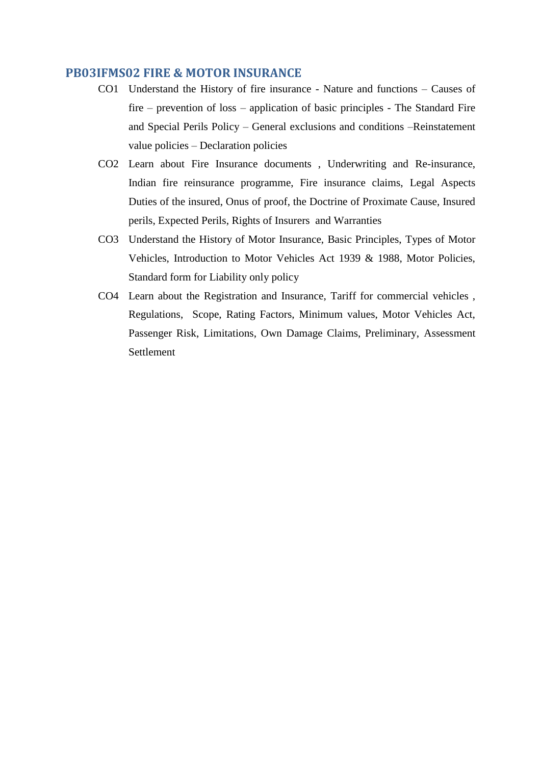#### **PB03IFMS02 FIRE & MOTOR INSURANCE**

- CO1 Understand the History of fire insurance Nature and functions Causes of fire – prevention of loss – application of basic principles - The Standard Fire and Special Perils Policy – General exclusions and conditions –Reinstatement value policies – Declaration policies
- CO2 Learn about Fire Insurance documents , Underwriting and Re-insurance, Indian fire reinsurance programme, Fire insurance claims, Legal Aspects Duties of the insured, Onus of proof, the Doctrine of Proximate Cause, Insured perils, Expected Perils, Rights of Insurers and Warranties
- CO3 Understand the History of Motor Insurance, Basic Principles, Types of Motor Vehicles, Introduction to Motor Vehicles Act 1939 & 1988, Motor Policies, Standard form for Liability only policy
- CO4 Learn about the Registration and Insurance, Tariff for commercial vehicles , Regulations, Scope, Rating Factors, Minimum values, Motor Vehicles Act, Passenger Risk, Limitations, Own Damage Claims, Preliminary, Assessment Settlement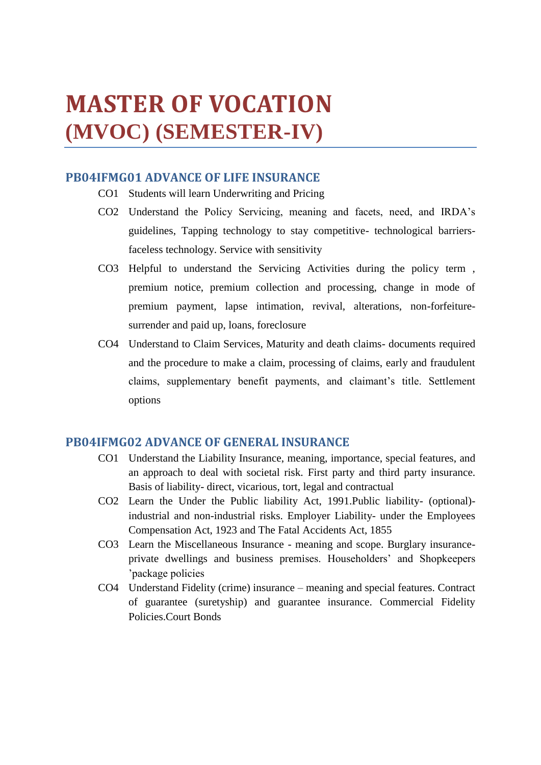# **MASTER OF VOCATION (MVOC) (SEMESTER-IV)**

# **PB04IFMG01 ADVANCE OF LIFE INSURANCE**

- CO1 Students will learn Underwriting and Pricing
- CO2 Understand the Policy Servicing, meaning and facets, need, and IRDA's guidelines, Tapping technology to stay competitive- technological barriersfaceless technology. Service with sensitivity
- CO3 Helpful to understand the Servicing Activities during the policy term , premium notice, premium collection and processing, change in mode of premium payment, lapse intimation, revival, alterations, non-forfeituresurrender and paid up, loans, foreclosure
- CO4 Understand to Claim Services, Maturity and death claims- documents required and the procedure to make a claim, processing of claims, early and fraudulent claims, supplementary benefit payments, and claimant's title. Settlement options

## **PB04IFMG02 ADVANCE OF GENERAL INSURANCE**

- CO1 Understand the Liability Insurance, meaning, importance, special features, and an approach to deal with societal risk. First party and third party insurance. Basis of liability- direct, vicarious, tort, legal and contractual
- CO2 Learn the Under the Public liability Act, 1991.Public liability- (optional) industrial and non-industrial risks. Employer Liability- under the Employees Compensation Act, 1923 and The Fatal Accidents Act, 1855
- CO3 Learn the Miscellaneous Insurance meaning and scope. Burglary insuranceprivate dwellings and business premises. Householders' and Shopkeepers 'package policies
- CO4 Understand Fidelity (crime) insurance meaning and special features. Contract of guarantee (suretyship) and guarantee insurance. Commercial Fidelity Policies.Court Bonds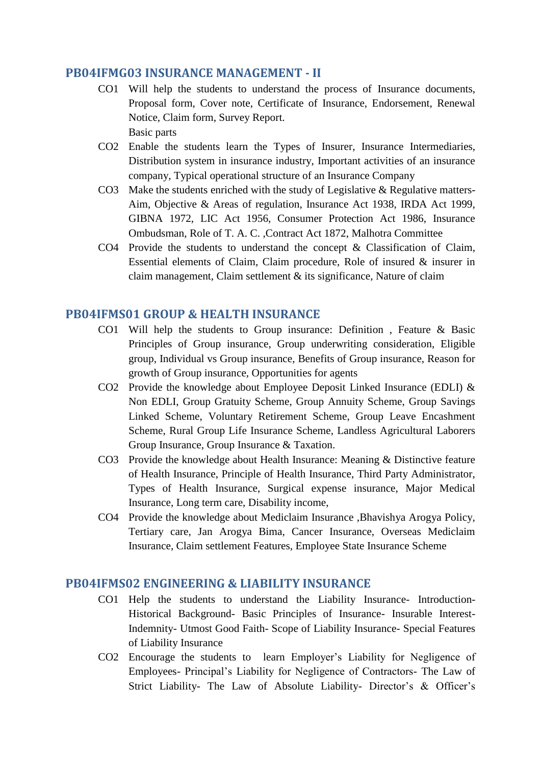### **PB04IFMG03 INSURANCE MANAGEMENT - II**

- CO1 Will help the students to understand the process of Insurance documents, Proposal form, Cover note, Certificate of Insurance, Endorsement, Renewal Notice, Claim form, Survey Report. Basic parts
- CO2 Enable the students learn the Types of Insurer, Insurance Intermediaries, Distribution system in insurance industry, Important activities of an insurance company, Typical operational structure of an Insurance Company
- CO3 Make the students enriched with the study of Legislative  $\&$  Regulative matters-Aim, Objective & Areas of regulation, Insurance Act 1938, IRDA Act 1999, GIBNA 1972, LIC Act 1956, Consumer Protection Act 1986, Insurance Ombudsman, Role of T. A. C. ,Contract Act 1872, Malhotra Committee
- CO4 Provide the students to understand the concept & Classification of Claim, Essential elements of Claim, Claim procedure, Role of insured & insurer in claim management, Claim settlement & its significance, Nature of claim

### **PB04IFMS01 GROUP & HEALTH INSURANCE**

- CO1 Will help the students to Group insurance: Definition , Feature & Basic Principles of Group insurance, Group underwriting consideration, Eligible group, Individual vs Group insurance, Benefits of Group insurance, Reason for growth of Group insurance, Opportunities for agents
- CO2 Provide the knowledge about Employee Deposit Linked Insurance (EDLI)  $\&$ Non EDLI, Group Gratuity Scheme, Group Annuity Scheme, Group Savings Linked Scheme, Voluntary Retirement Scheme, Group Leave Encashment Scheme, Rural Group Life Insurance Scheme, Landless Agricultural Laborers Group Insurance, Group Insurance & Taxation.
- CO3 Provide the knowledge about Health Insurance: Meaning & Distinctive feature of Health Insurance, Principle of Health Insurance, Third Party Administrator, Types of Health Insurance, Surgical expense insurance, Major Medical Insurance, Long term care, Disability income,
- CO4 Provide the knowledge about Mediclaim Insurance ,Bhavishya Arogya Policy, Tertiary care, Jan Arogya Bima, Cancer Insurance, Overseas Mediclaim Insurance, Claim settlement Features, Employee State Insurance Scheme

### **PB04IFMS02 ENGINEERING & LIABILITY INSURANCE**

- CO1 Help the students to understand the Liability Insurance- Introduction-Historical Background- Basic Principles of Insurance- Insurable Interest-Indemnity- Utmost Good Faith- Scope of Liability Insurance- Special Features of Liability Insurance
- CO2 Encourage the students to learn Employer's Liability for Negligence of Employees- Principal's Liability for Negligence of Contractors- The Law of Strict Liability- The Law of Absolute Liability- Director's & Officer's